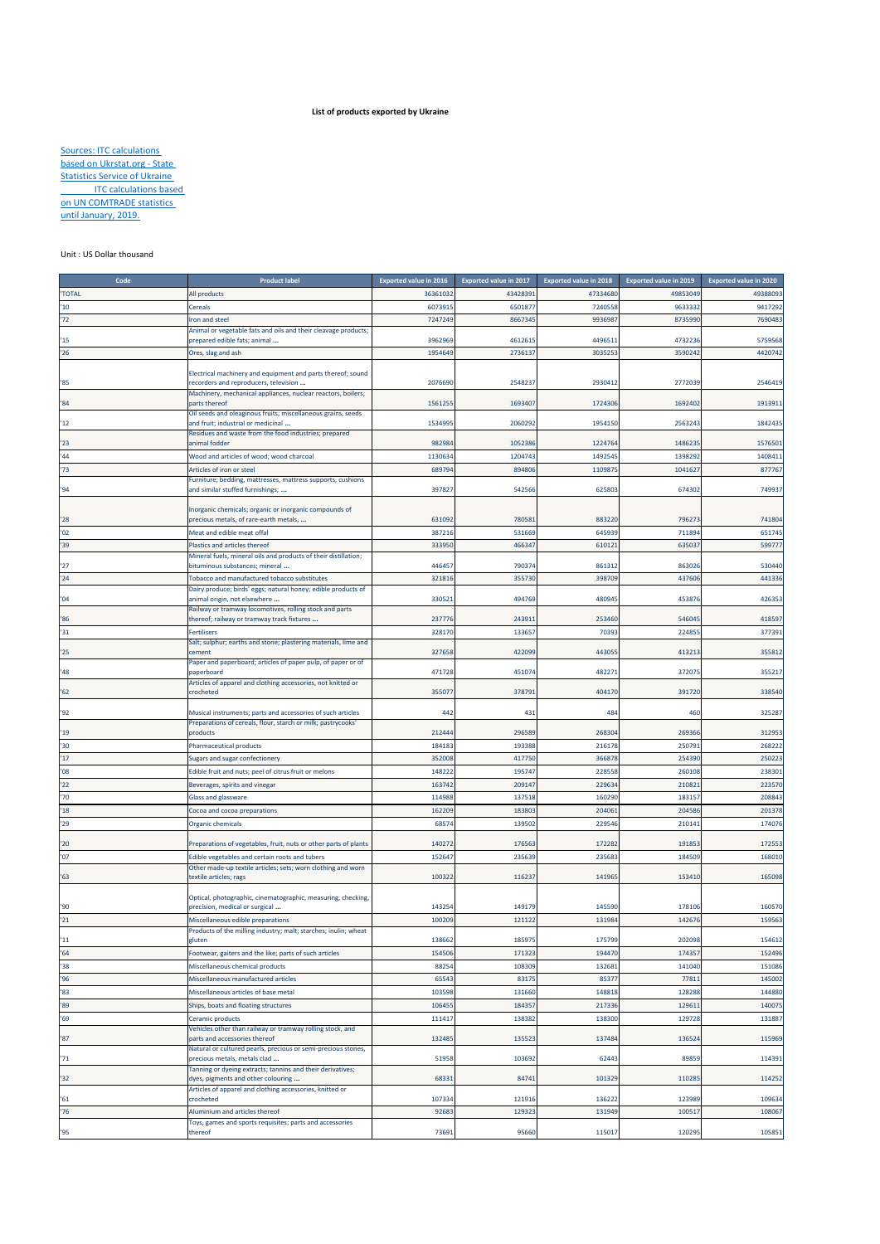## **List of products exported by Ukraine**

**Sources: ITC calculations** based on Ukrstat.org ‐ State **Statistics Service of Ukraine ITC calculations based** on UN COMTRADE statistics until January, 2019.

## Unit : US Dollar thousand

| Code          | <b>Product label</b>                                                                                              | <b>Exported value in 2016</b> | <b>Exported value in 2017</b> | <b>Exported value in 2018</b> | <b>Exported value in 2019</b> | <b>Exported value in 2020</b> |
|---------------|-------------------------------------------------------------------------------------------------------------------|-------------------------------|-------------------------------|-------------------------------|-------------------------------|-------------------------------|
| 'TOTAL        | All products                                                                                                      | 3636103                       | 4342839                       | 4733468                       | 49853049                      | 49388093                      |
| '10           | Cereals                                                                                                           | 607391                        | 650187                        | 724055                        | 9633332                       | 941729                        |
| '72           | ron and steel                                                                                                     | 7247249                       | 866734                        | 993698                        | 8735990                       | 769048                        |
| 15            | Animal or vegetable fats and oils and their cleavage products;<br>prepared edible fats; animal                    | 3962969                       | 461261                        | 449651                        | 4732236                       | 5759568                       |
| 26            | Ores, slag and ash                                                                                                | 1954649                       | 273613                        | 303525                        | 3590242                       | 4420742                       |
|               |                                                                                                                   |                               |                               |                               |                               |                               |
| $^{\prime}85$ | Electrical machinery and equipment and parts thereof; sound<br>ecorders and reproducers, television               | 2076690                       | 254823                        | 2930412                       | 2772039                       | 2546419                       |
| '84           | Machinery, mechanical appliances, nuclear reactors, boilers;<br>parts thereof                                     | 1561255                       | 169340                        | 1724306                       | 1692402                       | 191391                        |
| 12            | Oil seeds and oleaginous fruits; miscellaneous grains, seeds<br>and fruit; industrial or medicinal                | 1534995                       | 206029                        | 1954150                       | 2563243                       | 1842435                       |
| '23           | Residues and waste from the food industries; prepared<br>animal fodder                                            | 982984                        | 105238                        | 1224764                       | 1486235                       | 1576501                       |
| '44           | Wood and articles of wood; wood charcoal                                                                          | 1130634                       | 120474                        | 1492545                       | 1398292                       | 140841                        |
| '73           | Articles of iron or steel                                                                                         | 689794                        | 89480                         | 110987                        | 1041627                       | 877767                        |
| 94            | Furniture; bedding, mattresses, mattress supports, cushions<br>and similar stuffed furnishings;                   | 397827                        | 54256                         | 625803                        | 674302                        | 749937                        |
| '28           | norganic chemicals; organic or inorganic compounds of<br>orecious metals, of rare-earth metals,                   | 631092                        | 78058                         | 883220                        | 796273                        | 741804                        |
| '02           | Meat and edible meat offal                                                                                        | 387216                        | 531669                        | 64593                         | 711894                        | 651745                        |
| '39           | Plastics and articles thereof                                                                                     | 333950                        | 46634                         | 61012                         | 63503                         | 59977                         |
|               | Mineral fuels, mineral oils and products of their distillation;                                                   |                               |                               |                               |                               |                               |
| '27           | bituminous substances; mineral                                                                                    | 446457                        | 79037                         | 86131                         | 863026                        | 530440                        |
| '24           | Tobacco and manufactured tobacco substitutes<br>Dairy produce; birds' eggs; natural honey; edible products of     | 321816                        | 355730                        | 398709                        | 437606                        | 441336                        |
| '04           | animal origin, not elsewhere                                                                                      | 330521                        | 494769                        | 480945                        | 45387                         | 42635                         |
| '86           | Railway or tramway locomotives, rolling stock and parts<br>thereof; railway or tramway track fixtures             | 237776                        | 24391                         | 253460                        | 546045                        | 418597                        |
| '31           | Fertilisers                                                                                                       | 328170                        | 13365                         | 70393                         | 224855                        | 377391                        |
| '25           | Salt; sulphur; earths and stone; plastering materials, lime and<br>ement:                                         | 327658                        | 422099                        | 44305                         | 413213                        | 355812                        |
| '48           | Paper and paperboard; articles of paper pulp, of paper or of<br>paperboard                                        | 471728                        | 45107                         | 48227                         | 372075                        | 35521                         |
| '62           | Articles of apparel and clothing accessories, not knitted or<br>rocheted                                          | 35507                         | 37879                         | 404170                        | 391720                        | 338540                        |
| '92           | Musical instruments; parts and accessories of such articles                                                       | 442                           | 431                           | 484                           | 460                           | 325287                        |
| '19           | Preparations of cereals, flour, starch or milk; pastrycooks'<br>oroducts                                          | 212444                        | 296589                        | 268304                        | 269366                        | 312953                        |
| 30            | Pharmaceutical products                                                                                           | 18418                         | 19338                         | 216178                        | 250791                        | 268222                        |
| 17            | iugars and sugar confectionery                                                                                    | 352008                        | 417750                        | 36687                         | 254390                        | 250223                        |
| 08'           | Edible fruit and nuts; peel of citrus fruit or melons                                                             | 14822                         | 19574                         | 228558                        | 260108                        | 238301                        |
| '22           | Beverages, spirits and vinegar                                                                                    | 163742                        | 20914                         | 22963                         | 21082                         | 22357                         |
| '70           | Glass and glassware                                                                                               | 114988                        | 13751                         | 16029                         | 18315                         | 208843                        |
| '18           | Cocoa and cocoa preparations                                                                                      | 162209                        | 18380                         | 204061                        | 204586                        | 201378                        |
| '29           | Organic chemicals                                                                                                 | 6857                          | 13950                         | 229546                        | 210141                        | 17407                         |
| '20<br>'07    | Preparations of vegetables, fruit, nuts or other parts of plants<br>dible vegetables and certain roots and tubers | 140272<br>15264               | 17656<br>23563                | 17228<br>23568                | 191853<br>184509              | 172553<br>168010              |
| '63           | Other made-up textile articles; sets; worn clothing and worn<br>textile articles; rags                            | 10032                         | 11623                         | 141965                        | 153410                        | 165098                        |
|               | Optical, photographic, cinematographic, measuring, checking,                                                      |                               |                               |                               |                               |                               |
| '90           | precision, medical or surgical                                                                                    | 143254                        | 14917                         | 14559                         | 178106                        | 160570                        |
| 21            | Miscellaneous edible preparations                                                                                 | 100209                        | 121122                        | 131984                        | 142676                        | 159563                        |
| 11            | Products of the milling industry; malt; starches; inulin; wheat<br>gluten                                         | 138662                        | 18597                         | 175799                        | 202098                        | 154612                        |
| 164           | Footwear, gaiters and the like; parts of such articles                                                            | 154506                        | 17132                         | 19447                         | 174357                        | 152496                        |
| '38           | Miscellaneous chemical products                                                                                   | 88254                         | 108309                        | 132681                        | 141040                        | 151086                        |
| 96'           | Miscellaneous manufactured articles                                                                               | 65543                         | 8317                          | 8537                          | 77811                         | 145002                        |
| '83           | Miscellaneous articles of base metal                                                                              | 103598                        | 131660                        | 148818                        | 128288                        | 144880                        |
| '89           | Ships, boats and floating structures                                                                              | 106455                        | 18435                         | 217336                        | 129611                        | 140075                        |
| '69           | Ceramic products                                                                                                  | 111417                        | 138382                        | 138300                        | 129728                        | 131887                        |
| '87           | Vehicles other than railway or tramway rolling stock, and<br>parts and accessories thereof                        | 132485                        | 13552                         | 137484                        | 136524                        | 115969                        |
| '71           | Natural or cultured pearls, precious or semi-precious stones,<br>precious metals, metals clad                     | 51958                         | 10369                         | 62443                         | 89859                         | 114391                        |
| '32           | Tanning or dyeing extracts; tannins and their derivatives;<br>dyes, pigments and other colouring                  | 68331                         | 8474                          | 101329                        | 110285                        | 114252                        |
| '61           | Articles of apparel and clothing accessories, knitted or<br>crocheted                                             | 107334                        | 121916                        | 136222                        | 123989                        | 109634                        |
| '76           | Aluminium and articles thereof                                                                                    | 9268                          | 12932                         | 131949                        | 100517                        | 108067                        |
| 95            | Toys, games and sports requisites; parts and accessories<br>thereof                                               | 73691                         | 95660                         | 115017                        | 120295                        | 105851                        |
|               |                                                                                                                   |                               |                               |                               |                               |                               |